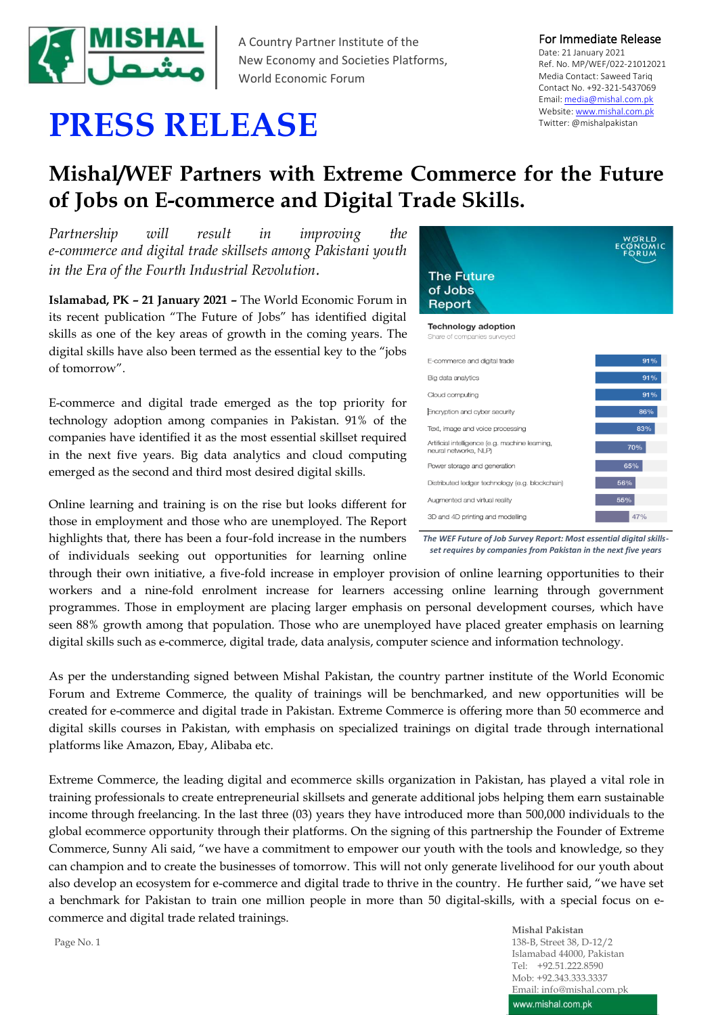

A Country Partner Institute of the New Economy and Societies Platforms, World Economic Forum

## For Immediate Release

Date: 21 January 2021 Ref. No. MP/WEF/022-21012021 Media Contact: Saweed Tariq Contact No. +92-321-5437069 Email[: media@mishal.com.pk](mailto:media@mishal.com.pk) Website[: www.mishal.com.pk](http://www.mishal.com.pk/) Twitter: @mishalpakistan

## **PRESS RELEASE**

## **Mishal/WEF Partners with Extreme Commerce for the Future of Jobs on E-commerce and Digital Trade Skills.**

*Partnership will result in improving the e-commerce and digital trade skillsets among Pakistani youth in the Era of the Fourth Industrial Revolution.*

**Islamabad, PK – 21 January 2021 –** The World Economic Forum in its recent publication "The Future of Jobs" has identified digital skills as one of the key areas of growth in the coming years. The digital skills have also been termed as the essential key to the "jobs of tomorrow".

E-commerce and digital trade emerged as the top priority for technology adoption among companies in Pakistan. 91% of the companies have identified it as the most essential skillset required in the next five years. Big data analytics and cloud computing emerged as the second and third most desired digital skills.

Online learning and training is on the rise but looks different for those in employment and those who are unemployed. The Report highlights that, there has been a four-fold increase in the numbers of individuals seeking out opportunities for learning online

**The Future** of Jobs Report **Technology adoption** Share of companies s E-commerce and digital trade  $91%$ Big data analytics Cloud computing Encryption and cyber security Text, image and voice processing Artificial intelligence (e.g. machine leaming,<br>neural networks, NLP) 70% Power storage and generation Distributed ledger technology (e.g. blockchain) Augmented and virtual reality 3D and 4D printing and modelling

*The WEF Future of Job Survey Report: Most essential digital skillsset requires by companies from Pakistan in the next five years*

through their own initiative, a five-fold increase in employer provision of online learning opportunities to their workers and a nine-fold enrolment increase for learners accessing online learning through government programmes. Those in employment are placing larger emphasis on personal development courses, which have seen 88% growth among that population. Those who are unemployed have placed greater emphasis on learning digital skills such as e-commerce, digital trade, data analysis, computer science and information technology.

As per the understanding signed between Mishal Pakistan, the country partner institute of the World Economic Forum and Extreme Commerce, the quality of trainings will be benchmarked, and new opportunities will be created for e-commerce and digital trade in Pakistan. Extreme Commerce is offering more than 50 ecommerce and digital skills courses in Pakistan, with emphasis on specialized trainings on digital trade through international platforms like Amazon, Ebay, Alibaba etc.

Extreme Commerce, the leading digital and ecommerce skills organization in Pakistan, has played a vital role in training professionals to create entrepreneurial skillsets and generate additional jobs helping them earn sustainable income through freelancing. In the last three (03) years they have introduced more than 500,000 individuals to the global ecommerce opportunity through their platforms. On the signing of this partnership the Founder of Extreme Commerce, Sunny Ali said, "we have a commitment to empower our youth with the tools and knowledge, so they can champion and to create the businesses of tomorrow. This will not only generate livelihood for our youth about also develop an ecosystem for e-commerce and digital trade to thrive in the country. He further said, "we have set a benchmark for Pakistan to train one million people in more than 50 digital-skills, with a special focus on ecommerce and digital trade related trainings.

> **Mishal Pakistan** 138-B, Street 38, D-12/2 Islamabad 44000, Pakistan Tel: +92.51.222.8590 Mob: +92.343.333.3337 Email: info@mishal.com.pk www.mishal.com.pk

Page No. 1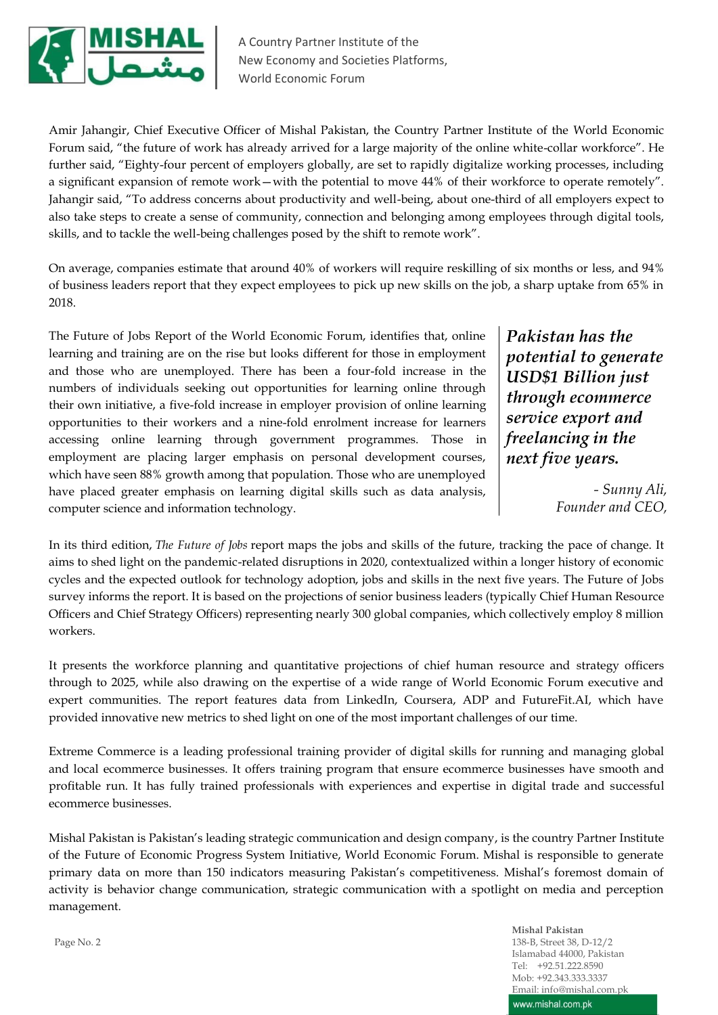

A Country Partner Institute of the New Economy and Societies Platforms, World Economic Forum

Amir Jahangir, Chief Executive Officer of Mishal Pakistan, the Country Partner Institute of the World Economic Forum said, "the future of work has already arrived for a large majority of the online white-collar workforce". He further said, "Eighty-four percent of employers globally, are set to rapidly digitalize working processes, including a significant expansion of remote work—with the potential to move 44% of their workforce to operate remotely". Jahangir said, "To address concerns about productivity and well-being, about one-third of all employers expect to also take steps to create a sense of community, connection and belonging among employees through digital tools, skills, and to tackle the well-being challenges posed by the shift to remote work".

On average, companies estimate that around 40% of workers will require reskilling of six months or less, and 94% of business leaders report that they expect employees to pick up new skills on the job, a sharp uptake from 65% in 2018.

The Future of Jobs Report of the World Economic Forum, identifies that, online learning and training are on the rise but looks different for those in employment and those who are unemployed. There has been a four-fold increase in the numbers of individuals seeking out opportunities for learning online through their own initiative, a five-fold increase in employer provision of online learning opportunities to their workers and a nine-fold enrolment increase for learners accessing online learning through government programmes. Those in employment are placing larger emphasis on personal development courses, which have seen 88% growth among that population. Those who are unemployed have placed greater emphasis on learning digital skills such as data analysis, computer science and information technology.

*Pakistan has the potential to generate USD\$1 Billion just through ecommerce service export and freelancing in the next five years.*

> *- Sunny Ali, Founder and CEO,*

In its third edition, *The Future of Jobs* report maps the jobs and skills of the future, tracking the pace of change. It aims to shed light on the pandemic-related disruptions in 2020, contextualized within a longer history of economic cycles and the expected outlook for technology adoption, jobs and skills in the next five years. The Future of Jobs survey informs the report. It is based on the projections of senior business leaders (typically Chief Human Resource Officers and Chief Strategy Officers) representing nearly 300 global companies, which collectively employ 8 million workers.

It presents the workforce planning and quantitative projections of chief human resource and strategy officers through to 2025, while also drawing on the expertise of a wide range of World Economic Forum executive and expert communities. The report features data from LinkedIn, Coursera, ADP and FutureFit.AI, which have provided innovative new metrics to shed light on one of the most important challenges of our time.

Extreme Commerce is a leading professional training provider of digital skills for running and managing global and local ecommerce businesses. It offers training program that ensure ecommerce businesses have smooth and profitable run. It has fully trained professionals with experiences and expertise in digital trade and successful ecommerce businesses.

Mishal Pakistan is Pakistan's leading strategic communication and design company, is the country Partner Institute of the Future of Economic Progress System Initiative, World Economic Forum. Mishal is responsible to generate primary data on more than 150 indicators measuring Pakistan's competitiveness. Mishal's foremost domain of activity is behavior change communication, strategic communication with a spotlight on media and perception management.

> **Mishal Pakistan** 138-B, Street 38, D-12/2 Islamabad 44000, Pakistan Tel: +92.51.222.8590 Mob: +92.343.333.3337 Email: info@mishal.com.pk www.mishal.com.pk

Page No. 2